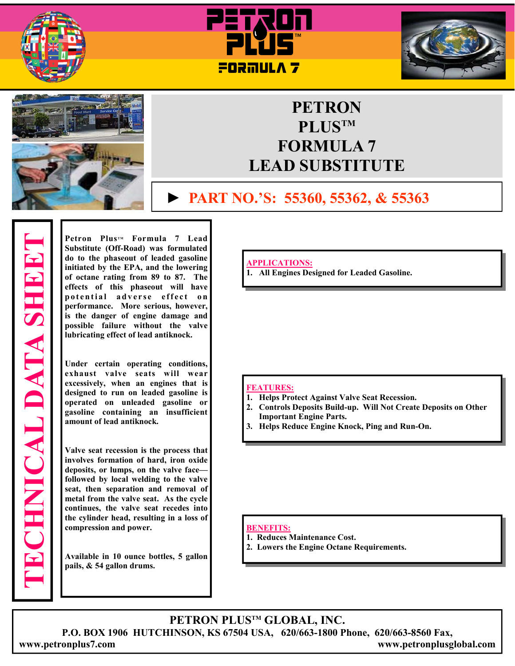







## **PETRON PLUSTM FORMULA 7 LEAD SUBSTITUTE**

### **► PART NO.'S: 55360, 55362, & 55363**

**Petron PlusTM Formula 7 Lead Substitute (Off-Road) was formulated do to the phaseout of leaded gasoline initiated by the EPA, and the lowering of octane rating from 89 to 87. The effects of this phaseout will have**  potential adverse effect on **performance. More serious, however, is the danger of engine damage and possible failure without the valve lubricating effect of lead antiknock.** 

**Under certain operating conditions, exhaust valve seats will wear excessively, when an engines that is designed to run on leaded gasoline is operated on unleaded gasoline or gasoline containing an insufficient amount of lead antiknock.** 

**Valve seat recession is the process that involves formation of hard, iron oxide deposits, or lumps, on the valve face followed by local welding to the valve seat, then separation and removal of metal from the valve seat. As the cycle continues, the valve seat recedes into the cylinder head, resulting in a loss of compression and power.** 

**Available in 10 ounce bottles, 5 gallon pails, & 54 gallon drums.**

**APPLICATIONS:**

**1. All Engines Designed for Leaded Gasoline.** 

#### **FEATURES:**

- **1. Helps Protect Against Valve Seat Recession.**
- **2. Controls Deposits Build-up. Will Not Create Deposits on Other Important Engine Parts.**
- **3. Helps Reduce Engine Knock, Ping and Run-On.**

#### **BENEFITS:**

- **1. Reduces Maintenance Cost.**
- **2. Lowers the Engine Octane Requirements.**

**PETRON PLUSTM GLOBAL, INC. P.O. BOX 1906 HUTCHINSON, KS 67504 USA, 620/663-1800 Phone, 620/663-8560 Fax, www.petronplus7.com www.petronplusglobal.com**